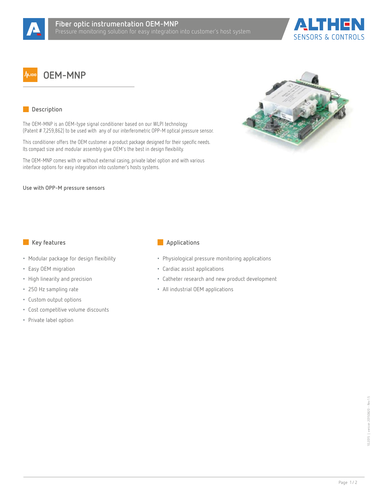



## **OEM-MNP**

## **Description**

The OEM-MNP is an OEM-type signal conditioner based on our WLPI technology (Patent # 7,259,862) to be used with any of our interferometric OPP-M optical pressure sensor.

This conditioner offers the OEM customer a product package designed for their specific needs. Its compact size and modular assembly give OEM's the best in design flexibility.

The OEM-MNP comes with or without external casing, private label option and with various interface options for easy integration into customer's hosts systems.



- Modular package for design flexibility
- Easy OEM migration
- High linearity and precision
- 250 Hz sampling rate
- Custom output options
- Cost competitive volume discounts
- Private label option
- **Key features Applications** 
	- Physiological pressure monitoring applications
	- Cardiac assist applications
	- Catheter research and new product development
	- All industrial OEM applications